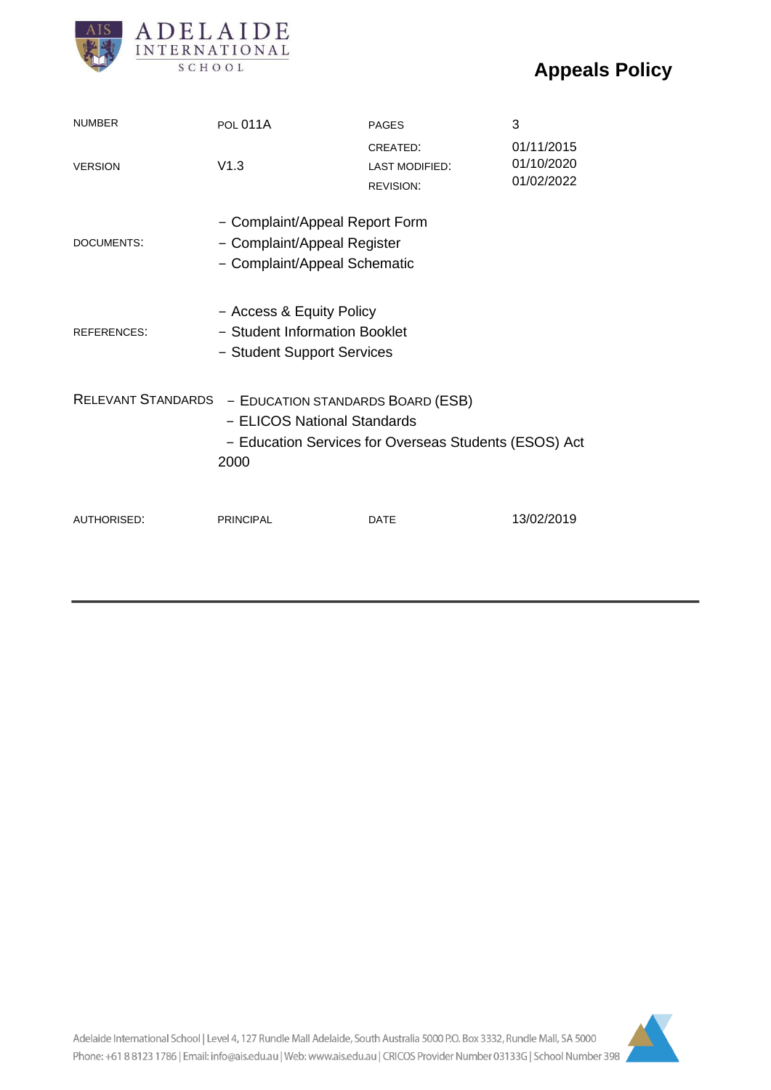# **Appeals Policy**



| <b>NUMBER</b>                                                                                                                                                  | <b>POL 011A</b>                                                                               | <b>PAGES</b>                                          | 3                                      |
|----------------------------------------------------------------------------------------------------------------------------------------------------------------|-----------------------------------------------------------------------------------------------|-------------------------------------------------------|----------------------------------------|
| <b>VERSION</b>                                                                                                                                                 | V1.3                                                                                          | CREATED:<br><b>LAST MODIFIED:</b><br><b>REVISION:</b> | 01/11/2015<br>01/10/2020<br>01/02/2022 |
| DOCUMENTS:                                                                                                                                                     | - Complaint/Appeal Report Form<br>- Complaint/Appeal Register<br>- Complaint/Appeal Schematic |                                                       |                                        |
| <b>REFERENCES:</b>                                                                                                                                             | - Access & Equity Policy<br>- Student Information Booklet<br>- Student Support Services       |                                                       |                                        |
| <b>RELEVANT STANDARDS</b><br>- EDUCATION STANDARDS BOARD (ESB)<br>- ELICOS National Standards<br>- Education Services for Overseas Students (ESOS) Act<br>2000 |                                                                                               |                                                       |                                        |
| AUTHORISED:                                                                                                                                                    | <b>PRINCIPAL</b>                                                                              | <b>DATE</b>                                           | 13/02/2019                             |

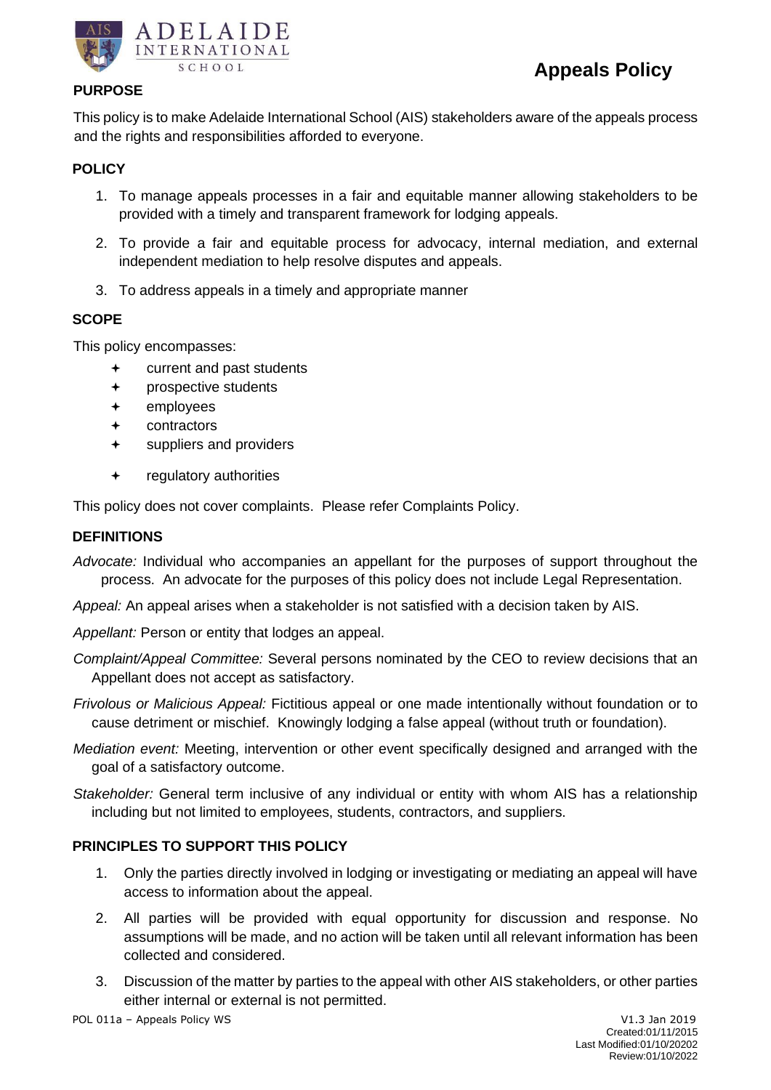



## **PURPOSE**

This policy is to make Adelaide International School (AIS) stakeholders aware of the appeals process and the rights and responsibilities afforded to everyone.

# **POLICY**

- 1. To manage appeals processes in a fair and equitable manner allowing stakeholders to be provided with a timely and transparent framework for lodging appeals.
- 2. To provide a fair and equitable process for advocacy, internal mediation, and external independent mediation to help resolve disputes and appeals.
- 3. To address appeals in a timely and appropriate manner

## **SCOPE**

This policy encompasses:

- current and past students
- prospective students
- employees
- contractors
- suppliers and providers
- regulatory authorities

This policy does not cover complaints. Please refer Complaints Policy.

## **DEFINITIONS**

*Advocate:* Individual who accompanies an appellant for the purposes of support throughout the process. An advocate for the purposes of this policy does not include Legal Representation.

*Appeal:* An appeal arises when a stakeholder is not satisfied with a decision taken by AIS.

*Appellant:* Person or entity that lodges an appeal.

- *Complaint/Appeal Committee:* Several persons nominated by the CEO to review decisions that an Appellant does not accept as satisfactory.
- *Frivolous or Malicious Appeal:* Fictitious appeal or one made intentionally without foundation or to cause detriment or mischief. Knowingly lodging a false appeal (without truth or foundation).
- *Mediation event:* Meeting, intervention or other event specifically designed and arranged with the goal of a satisfactory outcome.
- *Stakeholder:* General term inclusive of any individual or entity with whom AIS has a relationship including but not limited to employees, students, contractors, and suppliers.

## **PRINCIPLES TO SUPPORT THIS POLICY**

- 1. Only the parties directly involved in lodging or investigating or mediating an appeal will have access to information about the appeal.
- 2. All parties will be provided with equal opportunity for discussion and response. No assumptions will be made, and no action will be taken until all relevant information has been collected and considered.
- 3. Discussion of the matter by parties to the appeal with other AIS stakeholders, or other parties either internal or external is not permitted.